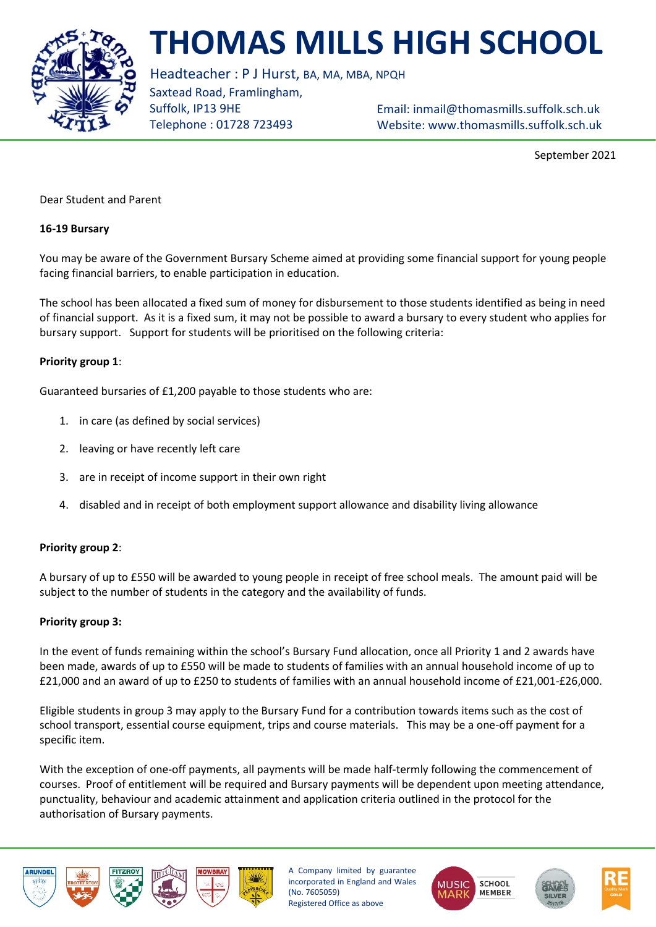

# **THOMAS MILLS HIGH SCHOOL**

Headteacher : P J Hurst, BA, MA, MBA, NPQH

Saxtead Road, Framlingham, Suffolk, IP13 9HE Telephone : 01728 723493

Email: [inmail@thomasmills.suffolk.sch.uk](mailto:inmail@thomasmills.suffolk.sch.uk) Website: www.thomasmills.suffolk.sch.uk

September 2021

Dear Student and Parent

### **16-19 Bursary**

You may be aware of the Government Bursary Scheme aimed at providing some financial support for young people facing financial barriers, to enable participation in education.

The school has been allocated a fixed sum of money for disbursement to those students identified as being in need of financial support. As it is a fixed sum, it may not be possible to award a bursary to every student who applies for bursary support. Support for students will be prioritised on the following criteria:

## **Priority group 1**:

Guaranteed bursaries of £1,200 payable to those students who are:

- 1. in care (as defined by social services)
- 2. leaving or have recently left care
- 3. are in receipt of income support in their own right
- 4. disabled and in receipt of both employment support allowance and disability living allowance

## **Priority group 2**:

A bursary of up to £550 will be awarded to young people in receipt of free school meals. The amount paid will be subject to the number of students in the category and the availability of funds.

### **Priority group 3:**

In the event of funds remaining within the school's Bursary Fund allocation, once all Priority 1 and 2 awards have been made, awards of up to £550 will be made to students of families with an annual household income of up to £21,000 and an award of up to £250 to students of families with an annual household income of £21,001-£26,000.

Eligible students in group 3 may apply to the Bursary Fund for a contribution towards items such as the cost of school transport, essential course equipment, trips and course materials. This may be a one-off payment for a specific item.

With the exception of one-off payments, all payments will be made half-termly following the commencement of courses. Proof of entitlement will be required and Bursary payments will be dependent upon meeting attendance, punctuality, behaviour and academic attainment and application criteria outlined in the protocol for the authorisation of Bursary payments.







A Company limited by guarantee incorporated in England and Wales (No. 7605059) Registered Office as above